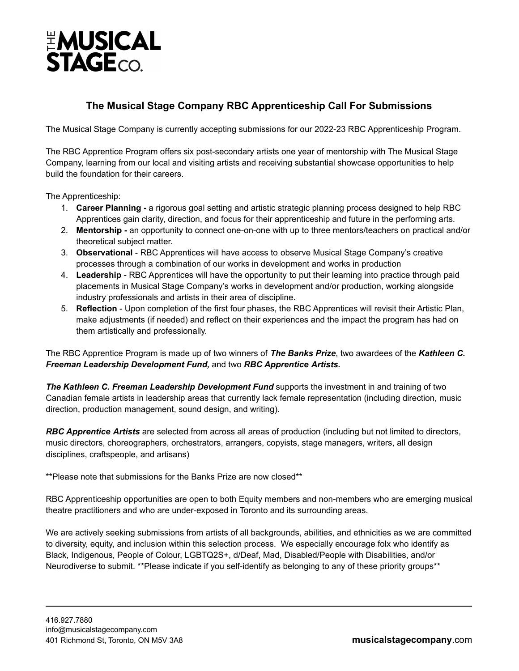

## **The Musical Stage Company RBC Apprenticeship Call For Submissions**

The Musical Stage Company is currently accepting submissions for our 2022-23 RBC Apprenticeship Program.

The RBC Apprentice Program offers six post-secondary artists one year of mentorship with The Musical Stage Company, learning from our local and visiting artists and receiving substantial showcase opportunities to help build the foundation for their careers.

The Apprenticeship:

- 1. **Career Planning -** a rigorous goal setting and artistic strategic planning process designed to help RBC Apprentices gain clarity, direction, and focus for their apprenticeship and future in the performing arts.
- 2. **Mentorship -** an opportunity to connect one-on-one with up to three mentors/teachers on practical and/or theoretical subject matter.
- 3. **Observational** RBC Apprentices will have access to observe Musical Stage Company's creative processes through a combination of our works in development and works in production
- 4. **Leadership** RBC Apprentices will have the opportunity to put their learning into practice through paid placements in Musical Stage Company's works in development and/or production, working alongside industry professionals and artists in their area of discipline.
- 5. **Reflection** Upon completion of the first four phases, the RBC Apprentices will revisit their Artistic Plan, make adjustments (if needed) and reflect on their experiences and the impact the program has had on them artistically and professionally.

The RBC Apprentice Program is made up of two winners of *The [Banks](https://musicalstagecompany.com/education-outreach/banks-prize/) Prize*, two awardees of the *Kathleen C. Freeman Leadership Development Fund,* and two *RBC Apprentice Artists.*

*The Kathleen C. Freeman Leadership Development Fund* supports the investment in and training of two Canadian female artists in leadership areas that currently lack female representation (including direction, music direction, production management, sound design, and writing).

*RBC Apprentice Artists* are selected from across all areas of production (including but not limited to directors, music directors, choreographers, orchestrators, arrangers, copyists, stage managers, writers, all design disciplines, craftspeople, and artisans)

\*\*Please note that submissions for the Banks Prize are now closed\*\*

RBC Apprenticeship opportunities are open to both Equity members and non-members who are emerging musical theatre practitioners and who are under-exposed in Toronto and its surrounding areas.

We are actively seeking submissions from artists of all backgrounds, abilities, and ethnicities as we are committed to diversity, equity, and inclusion within this selection process. We especially encourage folx who identify as Black, Indigenous, People of Colour, LGBTQ2S+, d/Deaf, Mad, Disabled/People with Disabilities, and/or Neurodiverse to submit. \*\*Please indicate if you self-identify as belonging to any of these priority groups\*\*